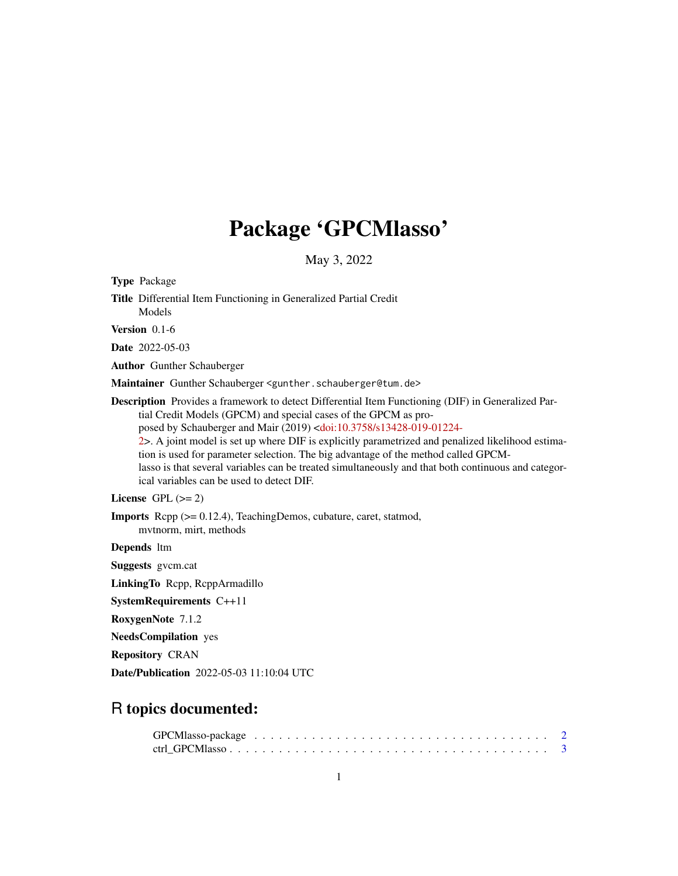# Package 'GPCMlasso'

May 3, 2022

<span id="page-0-0"></span>

| <b>Type Package</b>                                                                                                                                                                                                                                                                                                                                                                                                                                                                                                                                                                                                       |
|---------------------------------------------------------------------------------------------------------------------------------------------------------------------------------------------------------------------------------------------------------------------------------------------------------------------------------------------------------------------------------------------------------------------------------------------------------------------------------------------------------------------------------------------------------------------------------------------------------------------------|
| Title Differential Item Functioning in Generalized Partial Credit<br>Models                                                                                                                                                                                                                                                                                                                                                                                                                                                                                                                                               |
| Version 0.1-6                                                                                                                                                                                                                                                                                                                                                                                                                                                                                                                                                                                                             |
| <b>Date</b> 2022-05-03                                                                                                                                                                                                                                                                                                                                                                                                                                                                                                                                                                                                    |
| <b>Author</b> Gunther Schauberger                                                                                                                                                                                                                                                                                                                                                                                                                                                                                                                                                                                         |
| Maintainer Gunther Schauberger <gunther.schauberger@tum.de></gunther.schauberger@tum.de>                                                                                                                                                                                                                                                                                                                                                                                                                                                                                                                                  |
| <b>Description</b> Provides a framework to detect Differential Item Functioning (DIF) in Generalized Par-<br>tial Credit Models (GPCM) and special cases of the GPCM as pro-<br>posed by Schauberger and Mair (2019) <doi:10.3758 s13428-019-01224-<br="">2&gt;. A joint model is set up where DIF is explicitly parametrized and penalized likelihood estima-<br/>tion is used for parameter selection. The big advantage of the method called GPCM-<br/>lasso is that several variables can be treated simultaneously and that both continuous and categor-<br/>ical variables can be used to detect DIF.</doi:10.3758> |
| License GPL $(>= 2)$                                                                                                                                                                                                                                                                                                                                                                                                                                                                                                                                                                                                      |
| <b>Imports</b> Repp $(>= 0.12.4)$ , Teaching Demos, cubature, caret, statmod,<br>mytnorm, mirt, methods                                                                                                                                                                                                                                                                                                                                                                                                                                                                                                                   |
| Depends 1tm                                                                                                                                                                                                                                                                                                                                                                                                                                                                                                                                                                                                               |
| <b>Suggests</b> gycm.cat                                                                                                                                                                                                                                                                                                                                                                                                                                                                                                                                                                                                  |
| Linking To Repp, ReppArmadillo                                                                                                                                                                                                                                                                                                                                                                                                                                                                                                                                                                                            |
| <b>SystemRequirements C++11</b>                                                                                                                                                                                                                                                                                                                                                                                                                                                                                                                                                                                           |
| RoxygenNote 7.1.2                                                                                                                                                                                                                                                                                                                                                                                                                                                                                                                                                                                                         |
| <b>NeedsCompilation</b> yes                                                                                                                                                                                                                                                                                                                                                                                                                                                                                                                                                                                               |
| <b>Repository CRAN</b>                                                                                                                                                                                                                                                                                                                                                                                                                                                                                                                                                                                                    |
| <b>Date/Publication</b> 2022-05-03 11:10:04 UTC                                                                                                                                                                                                                                                                                                                                                                                                                                                                                                                                                                           |
|                                                                                                                                                                                                                                                                                                                                                                                                                                                                                                                                                                                                                           |

## R topics documented: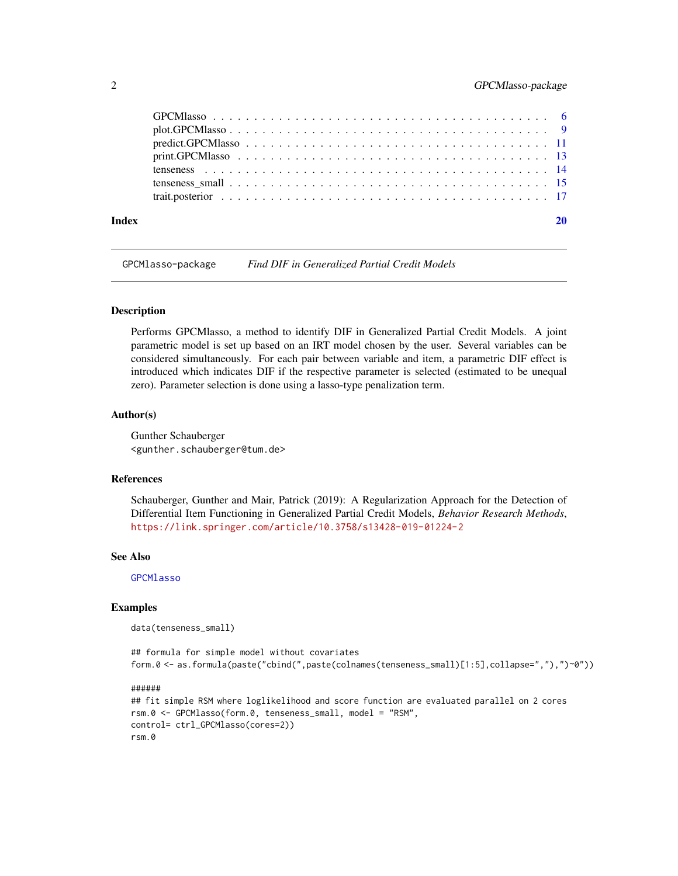#### <span id="page-1-0"></span>2 GPCMlasso-package

| Index |                                                                                                                         |  |
|-------|-------------------------------------------------------------------------------------------------------------------------|--|
|       |                                                                                                                         |  |
|       |                                                                                                                         |  |
|       |                                                                                                                         |  |
|       | $print.GPCMlasso \dots \dots \dots \dots \dots \dots \dots \dots \dots \dots \dots \dots \dots \dots \dots \dots \dots$ |  |
|       |                                                                                                                         |  |
|       | $plot.GPCMlasso \ldots \ldots \ldots \ldots \ldots \ldots \ldots \ldots \ldots \ldots \ldots \ldots$                    |  |
|       |                                                                                                                         |  |

<span id="page-1-1"></span>GPCMlasso-package *Find DIF in Generalized Partial Credit Models*

#### Description

Performs GPCMlasso, a method to identify DIF in Generalized Partial Credit Models. A joint parametric model is set up based on an IRT model chosen by the user. Several variables can be considered simultaneously. For each pair between variable and item, a parametric DIF effect is introduced which indicates DIF if the respective parameter is selected (estimated to be unequal zero). Parameter selection is done using a lasso-type penalization term.

#### Author(s)

Gunther Schauberger <gunther.schauberger@tum.de>

#### References

Schauberger, Gunther and Mair, Patrick (2019): A Regularization Approach for the Detection of Differential Item Functioning in Generalized Partial Credit Models, *Behavior Research Methods*, <https://link.springer.com/article/10.3758/s13428-019-01224-2>

#### See Also

**[GPCMlasso](#page-5-1)** 

#### Examples

data(tenseness\_small)

```
## formula for simple model without covariates
form.0 <- as.formula(paste("cbind(",paste(colnames(tenseness_small)[1:5],collapse=","),")~0"))
```

```
## fit simple RSM where loglikelihood and score function are evaluated parallel on 2 cores
rsm.0 <- GPCMlasso(form.0, tenseness_small, model = "RSM",
control= ctrl_GPCMlasso(cores=2))
rsm.0
```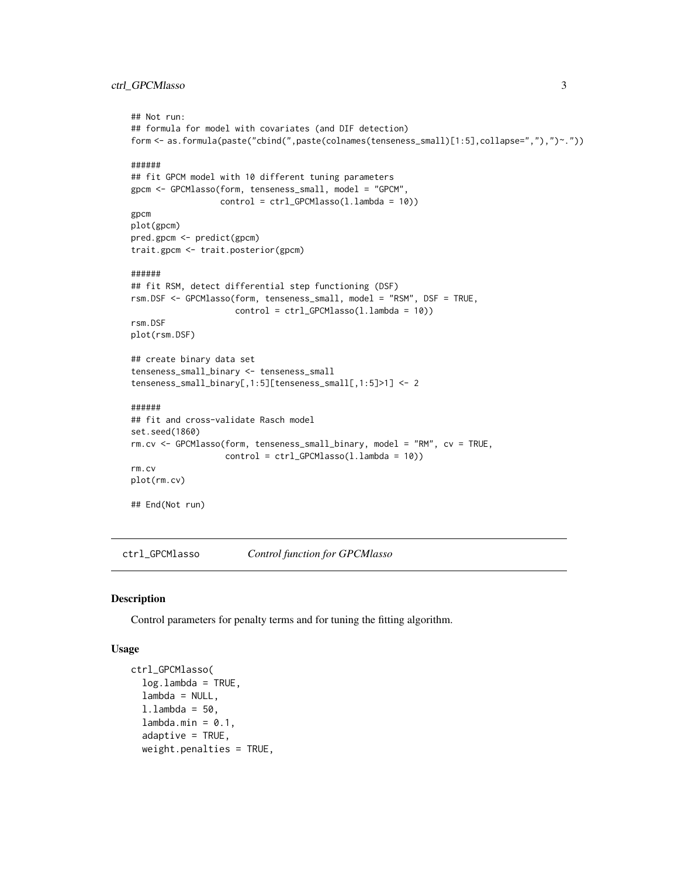```
## Not run:
## formula for model with covariates (and DIF detection)
form <- as.formula(paste("cbind(",paste(colnames(tenseness_small)[1:5],collapse=","),")~."))
######
## fit GPCM model with 10 different tuning parameters
gpcm <- GPCMlasso(form, tenseness_small, model = "GPCM",
                  control = ctrl_GPCMlasso(l.lambda = 10))
gpcm
plot(gpcm)
pred.gpcm <- predict(gpcm)
trait.gpcm <- trait.posterior(gpcm)
######
## fit RSM, detect differential step functioning (DSF)
rsm.DSF <- GPCMlasso(form, tenseness_small, model = "RSM", DSF = TRUE,
                     control = ctrl_GPCMlasso(l.lambda = 10))
rsm.DSF
plot(rsm.DSF)
## create binary data set
tenseness_small_binary <- tenseness_small
tenseness_small_binary[,1:5][tenseness_small[,1:5]>1] <- 2
######
## fit and cross-validate Rasch model
set.seed(1860)
rm.cv <- GPCMlasso(form, tenseness_small_binary, model = "RM", cv = TRUE,
                   control = ctrl_GPCMlasso(l.lambda = 10))
rm.cv
plot(rm.cv)
## End(Not run)
```
<span id="page-2-1"></span>ctrl\_GPCMlasso *Control function for GPCMlasso*

#### Description

Control parameters for penalty terms and for tuning the fitting algorithm.

#### Usage

```
ctrl_GPCMlasso(
  logulambda = TRUE,
  lambda = NULL,
  l.lambda = 50,
  lambda.min = 0.1,adaptive = TRUE,weight.penalties = TRUE,
```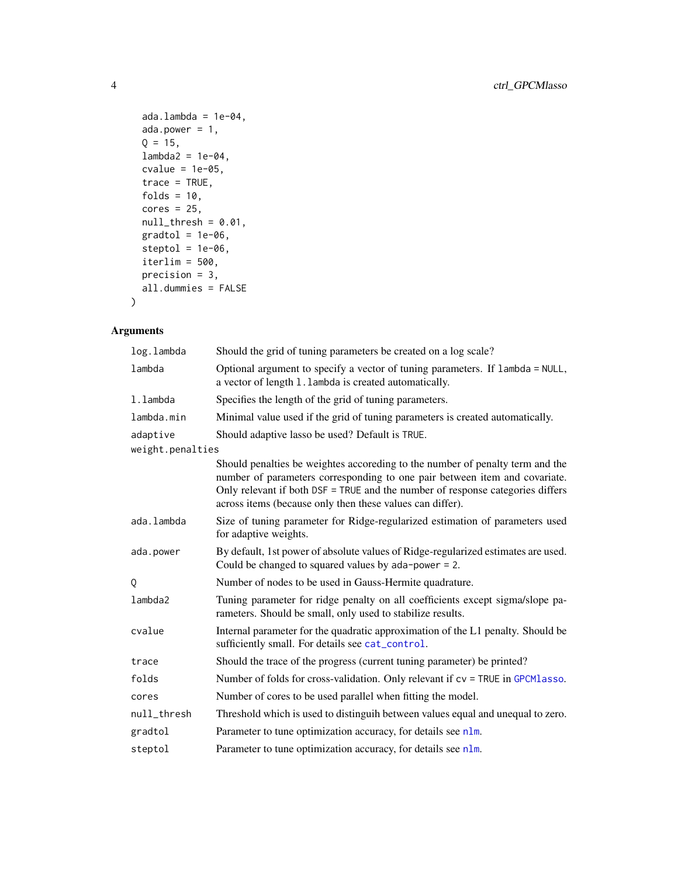```
ada.lambda = 1e-04,ada.power = 1,
 Q = 15,
 lambda2 = 1e-04,
 cvalue = 1e-05,
  trace = TRUE,
 folds = 10,
 cores = 25,null_{thresh} = 0.01,gradtol = 1e-06,steptol = 1e-06,
  iterlim = 500,
 precision = 3,
 all.dummies = FALSE
\mathcal{L}
```
#### Arguments

| log.lambda       | Should the grid of tuning parameters be created on a log scale?                                                                                                                                                                                                                                            |
|------------------|------------------------------------------------------------------------------------------------------------------------------------------------------------------------------------------------------------------------------------------------------------------------------------------------------------|
| lambda           | Optional argument to specify a vector of tuning parameters. If lambda = NULL,<br>a vector of length 1.1 ambda is created automatically.                                                                                                                                                                    |
| 1.1ambda         | Specifies the length of the grid of tuning parameters.                                                                                                                                                                                                                                                     |
| lambda.min       | Minimal value used if the grid of tuning parameters is created automatically.                                                                                                                                                                                                                              |
| adaptive         | Should adaptive lasso be used? Default is TRUE.                                                                                                                                                                                                                                                            |
| weight.penalties |                                                                                                                                                                                                                                                                                                            |
|                  | Should penalties be weightes accoreding to the number of penalty term and the<br>number of parameters corresponding to one pair between item and covariate.<br>Only relevant if both DSF = TRUE and the number of response categories differs<br>across items (because only then these values can differ). |
| ada.lambda       | Size of tuning parameter for Ridge-regularized estimation of parameters used<br>for adaptive weights.                                                                                                                                                                                                      |
| ada.power        | By default, 1st power of absolute values of Ridge-regularized estimates are used.<br>Could be changed to squared values by $ada-power = 2$ .                                                                                                                                                               |
| Q                | Number of nodes to be used in Gauss-Hermite quadrature.                                                                                                                                                                                                                                                    |
| lambda2          | Tuning parameter for ridge penalty on all coefficients except sigma/slope pa-<br>rameters. Should be small, only used to stabilize results.                                                                                                                                                                |
| cvalue           | Internal parameter for the quadratic approximation of the L1 penalty. Should be<br>sufficiently small. For details see cat_control.                                                                                                                                                                        |
| trace            | Should the trace of the progress (current tuning parameter) be printed?                                                                                                                                                                                                                                    |
| folds            | Number of folds for cross-validation. Only relevant if $cv = TRUE$ in GPCM lasso.                                                                                                                                                                                                                          |
| cores            | Number of cores to be used parallel when fitting the model.                                                                                                                                                                                                                                                |
| null_thresh      | Threshold which is used to distinguih between values equal and unequal to zero.                                                                                                                                                                                                                            |
| gradtol          | Parameter to tune optimization accuracy, for details see nlm.                                                                                                                                                                                                                                              |
| steptol          | Parameter to tune optimization accuracy, for details see nlm.                                                                                                                                                                                                                                              |

<span id="page-3-0"></span>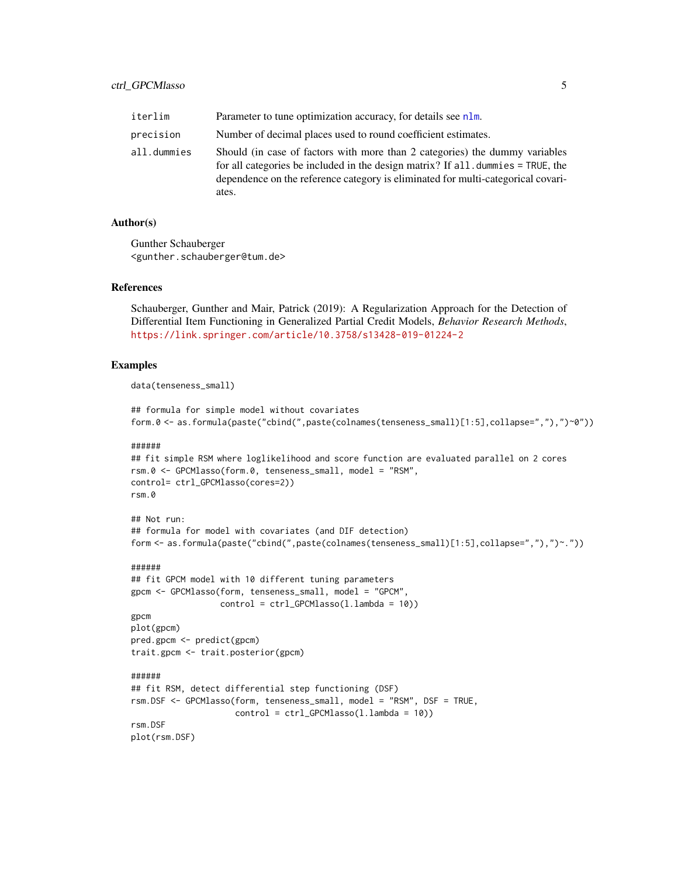<span id="page-4-0"></span>

| iterlim     | Parameter to tune optimization accuracy, for details see nlm.                                                                                                                                                                                               |
|-------------|-------------------------------------------------------------------------------------------------------------------------------------------------------------------------------------------------------------------------------------------------------------|
| precision   | Number of decimal places used to round coefficient estimates.                                                                                                                                                                                               |
| all.dummies | Should (in case of factors with more than 2 categories) the dummy variables<br>for all categories be included in the design matrix? If all dummies = TRUE, the<br>dependence on the reference category is eliminated for multi-categorical covari-<br>ates. |

Gunther Schauberger <gunther.schauberger@tum.de>

#### References

Schauberger, Gunther and Mair, Patrick (2019): A Regularization Approach for the Detection of Differential Item Functioning in Generalized Partial Credit Models, *Behavior Research Methods*, <https://link.springer.com/article/10.3758/s13428-019-01224-2>

#### Examples

data(tenseness\_small)

```
## formula for simple model without covariates
form.0 <- as.formula(paste("cbind(",paste(colnames(tenseness_small)[1:5],collapse=","),")~0"))
```
#### ######

```
## fit simple RSM where loglikelihood and score function are evaluated parallel on 2 cores
rsm.0 <- GPCMlasso(form.0, tenseness_small, model = "RSM",
control= ctrl_GPCMlasso(cores=2))
rsm.0
```
#### ## Not run:

```
## formula for model with covariates (and DIF detection)
form <- as.formula(paste("cbind(",paste(colnames(tenseness_small)[1:5],collapse=","),")~."))
```

```
## fit GPCM model with 10 different tuning parameters
gpcm <- GPCMlasso(form, tenseness_small, model = "GPCM",
                  control = \text{ctrl_GPCMlasso}(1.lengthambda = 10))
gpcm
plot(gpcm)
pred.gpcm <- predict(gpcm)
trait.gpcm <- trait.posterior(gpcm)
######
## fit RSM, detect differential step functioning (DSF)
rsm.DSF <- GPCMlasso(form, tenseness_small, model = "RSM", DSF = TRUE,
                     control = ctrl_GPCMlasso(l.lambda = 10))
rsm.DSF
plot(rsm.DSF)
```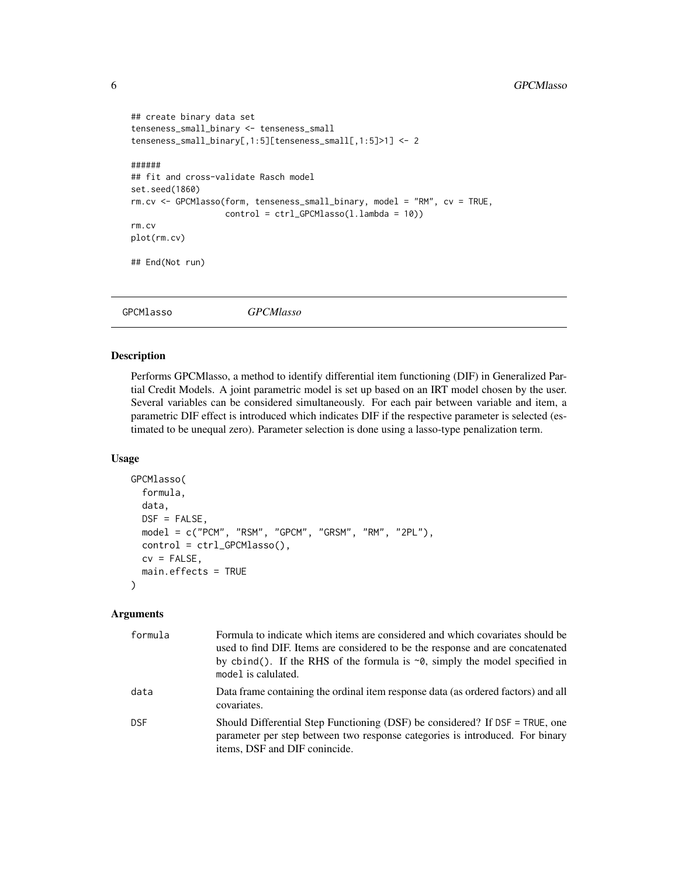```
## create binary data set
tenseness_small_binary <- tenseness_small
tenseness_small_binary[,1:5][tenseness_small[,1:5]>1] <- 2
######
## fit and cross-validate Rasch model
set.seed(1860)
rm.cv <- GPCMlasso(form, tenseness_small_binary, model = "RM", cv = TRUE,
                   control = ctrl_GPCMlasso(l.lambda = 10))
rm.cv
plot(rm.cv)
## End(Not run)
```
<span id="page-5-1"></span>

GPCMlasso *GPCMlasso*

#### Description

Performs GPCMlasso, a method to identify differential item functioning (DIF) in Generalized Partial Credit Models. A joint parametric model is set up based on an IRT model chosen by the user. Several variables can be considered simultaneously. For each pair between variable and item, a parametric DIF effect is introduced which indicates DIF if the respective parameter is selected (estimated to be unequal zero). Parameter selection is done using a lasso-type penalization term.

#### Usage

```
GPCMlasso(
  formula,
  data,
  DSF = FALSE,
  model = c("PCM", "RSM", "GPCM", "GRSM", "RM", "2PL"),
  control = ctrl_GPCMlasso(),
  cv = FALSE,
  main.effects = TRUE
)
```
#### Arguments

| formula    | Formula to indicate which items are considered and which covariates should be<br>used to find DIF. Items are considered to be the response and are concatenated<br>by cbind(). If the RHS of the formula is $\sim$ 0, simply the model specified in<br>model is calulated. |
|------------|----------------------------------------------------------------------------------------------------------------------------------------------------------------------------------------------------------------------------------------------------------------------------|
| data       | Data frame containing the ordinal item response data (as ordered factors) and all<br>covariates.                                                                                                                                                                           |
| <b>DSF</b> | Should Differential Step Functioning (DSF) be considered? If DSF = TRUE, one<br>parameter per step between two response categories is introduced. For binary<br>items, DSF and DIF conincide.                                                                              |

<span id="page-5-0"></span>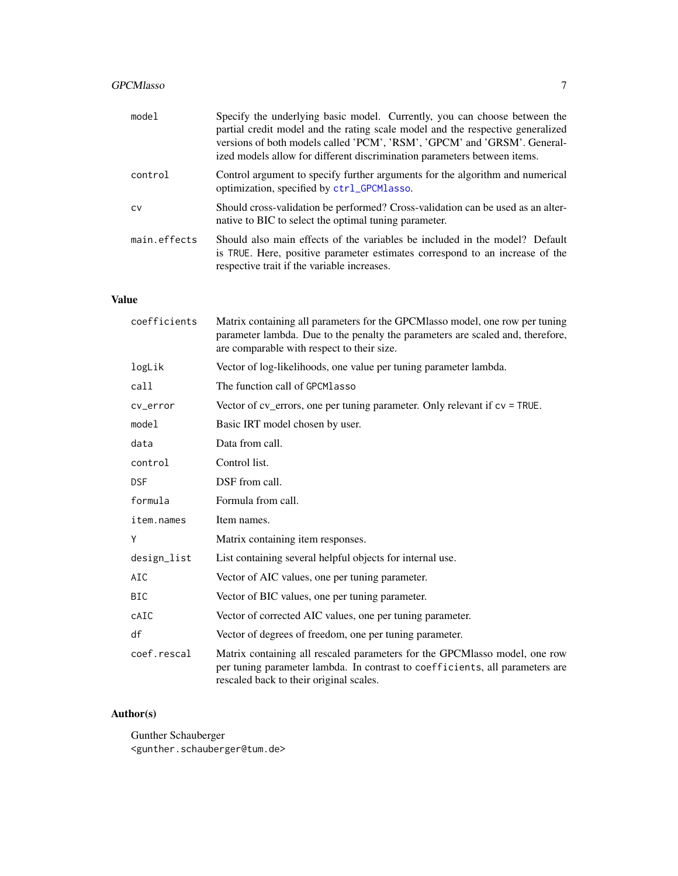### <span id="page-6-0"></span>GPCMlasso 7

| model        | Specify the underlying basic model. Currently, you can choose between the<br>partial credit model and the rating scale model and the respective generalized<br>versions of both models called 'PCM', 'RSM', 'GPCM' and 'GRSM'. General-<br>ized models allow for different discrimination parameters between items. |
|--------------|---------------------------------------------------------------------------------------------------------------------------------------------------------------------------------------------------------------------------------------------------------------------------------------------------------------------|
| control      | Control argument to specify further arguments for the algorithm and numerical<br>optimization, specified by ctrl_GPCMlasso.                                                                                                                                                                                         |
| <b>CV</b>    | Should cross-validation be performed? Cross-validation can be used as an alter-<br>native to BIC to select the optimal tuning parameter.                                                                                                                                                                            |
| main.effects | Should also main effects of the variables be included in the model? Default<br>is TRUE. Here, positive parameter estimates correspond to an increase of the<br>respective trait if the variable increases.                                                                                                          |

### Value

| coefficients | Matrix containing all parameters for the GPCMlasso model, one row per tuning<br>parameter lambda. Due to the penalty the parameters are scaled and, therefore,<br>are comparable with respect to their size. |
|--------------|--------------------------------------------------------------------------------------------------------------------------------------------------------------------------------------------------------------|
| logLik       | Vector of log-likelihoods, one value per tuning parameter lambda.                                                                                                                                            |
| call         | The function call of GPCMlasso                                                                                                                                                                               |
| cv_error     | Vector of $cv$ errors, one per tuning parameter. Only relevant if $cv = TRUE$ .                                                                                                                              |
| model        | Basic IRT model chosen by user.                                                                                                                                                                              |
| data         | Data from call.                                                                                                                                                                                              |
| control      | Control list.                                                                                                                                                                                                |
| <b>DSF</b>   | DSF from call.                                                                                                                                                                                               |
| formula      | Formula from call.                                                                                                                                                                                           |
| item.names   | Item names.                                                                                                                                                                                                  |
| Y            | Matrix containing item responses.                                                                                                                                                                            |
| design_list  | List containing several helpful objects for internal use.                                                                                                                                                    |
| AIC          | Vector of AIC values, one per tuning parameter.                                                                                                                                                              |
| <b>BIC</b>   | Vector of BIC values, one per tuning parameter.                                                                                                                                                              |
| CAIC         | Vector of corrected AIC values, one per tuning parameter.                                                                                                                                                    |
| df           | Vector of degrees of freedom, one per tuning parameter.                                                                                                                                                      |
| coef.rescal  | Matrix containing all rescaled parameters for the GPCMlasso model, one row<br>per tuning parameter lambda. In contrast to coefficients, all parameters are<br>rescaled back to their original scales.        |

### Author(s)

Gunther Schauberger <gunther.schauberger@tum.de>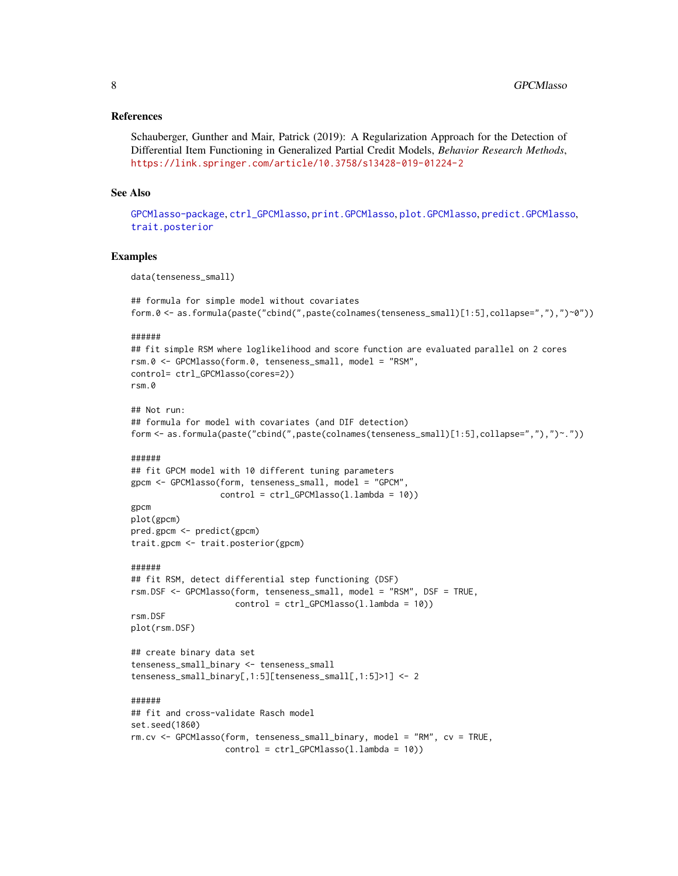#### <span id="page-7-0"></span>References

Schauberger, Gunther and Mair, Patrick (2019): A Regularization Approach for the Detection of Differential Item Functioning in Generalized Partial Credit Models, *Behavior Research Methods*, <https://link.springer.com/article/10.3758/s13428-019-01224-2>

#### See Also

[GPCMlasso-package](#page-1-1), [ctrl\\_GPCMlasso](#page-2-1), [print.GPCMlasso](#page-12-1), [plot.GPCMlasso](#page-8-1), [predict.GPCMlasso](#page-10-1), [trait.posterior](#page-16-1)

#### Examples

data(tenseness\_small)

```
## formula for simple model without covariates
form.0 <- as.formula(paste("cbind(",paste(colnames(tenseness_small)[1:5],collapse=","),")~0"))
```
#### ######

```
## fit simple RSM where loglikelihood and score function are evaluated parallel on 2 cores
rsm.0 <- GPCMlasso(form.0, tenseness_small, model = "RSM",
control= ctrl_GPCMlasso(cores=2))
rsm.0
```

```
## Not run:
## formula for model with covariates (and DIF detection)
form <- as.formula(paste("cbind(",paste(colnames(tenseness_small)[1:5],collapse=","),")~."))
```
#### ######

```
## fit GPCM model with 10 different tuning parameters
gpcm <- GPCMlasso(form, tenseness_small, model = "GPCM",
                  control = ctrl_GPCMlasso(l.lambda = 10))
```

```
gpcm
plot(gpcm)
pred.gpcm <- predict(gpcm)
trait.gpcm <- trait.posterior(gpcm)
```
#### ######

```
## fit RSM, detect differential step functioning (DSF)
rsm.DSF <- GPCMlasso(form, tenseness_small, model = "RSM", DSF = TRUE,
                      control = \text{ctrl_GPCMlasso}(1.lengthambda = 10))
rsm.DSF
```

```
plot(rsm.DSF)
```

```
## create binary data set
tenseness_small_binary <- tenseness_small
tenseness_small_binary[,1:5][tenseness_small[,1:5]>1] <- 2
```

```
## fit and cross-validate Rasch model
set.seed(1860)
rm.cv <- GPCMlasso(form, tenseness_small_binary, model = "RM", cv = TRUE,
                   control = ctrl_GPCMlasso(l.lambda = 10))
```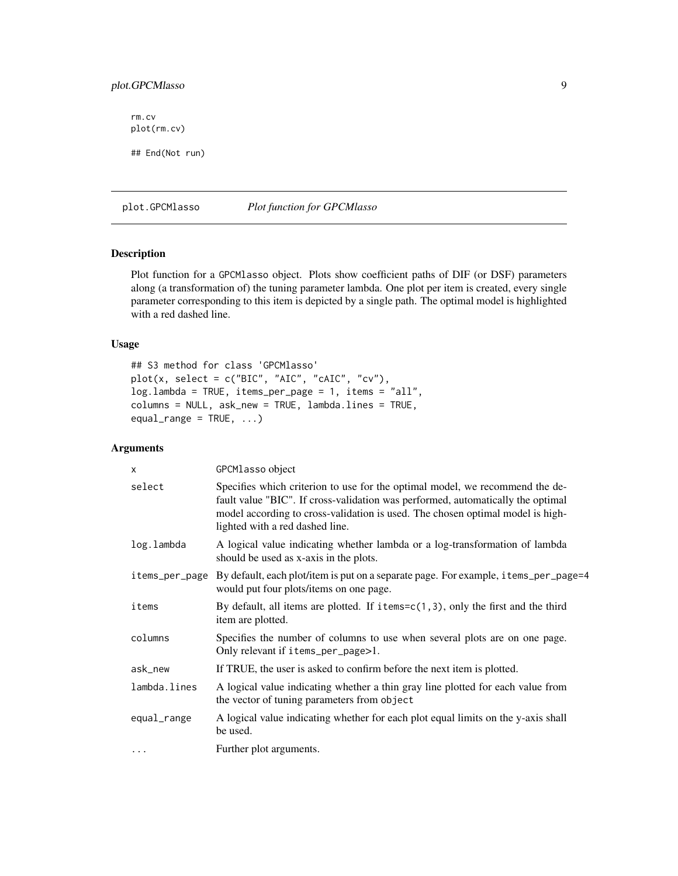#### <span id="page-8-0"></span>plot.GPCMlasso 9

rm.cv plot(rm.cv) ## End(Not run)

<span id="page-8-1"></span>plot.GPCMlasso *Plot function for GPCMlasso*

#### Description

Plot function for a GPCMlasso object. Plots show coefficient paths of DIF (or DSF) parameters along (a transformation of) the tuning parameter lambda. One plot per item is created, every single parameter corresponding to this item is depicted by a single path. The optimal model is highlighted with a red dashed line.

#### Usage

```
## S3 method for class 'GPCMlasso'
plot(x, select = c("BIC", "AIC", "cAIC", "cv"),log.lambda = TRUE, items_per_page = 1, items = "all",
columns = NULL, ask_new = TRUE, lambda.lines = TRUE,
equal_range = TRUE, ...)
```
#### Arguments

| X              | GPCMlasso object                                                                                                                                                                                                                                                                     |
|----------------|--------------------------------------------------------------------------------------------------------------------------------------------------------------------------------------------------------------------------------------------------------------------------------------|
| select         | Specifies which criterion to use for the optimal model, we recommend the de-<br>fault value "BIC". If cross-validation was performed, automatically the optimal<br>model according to cross-validation is used. The chosen optimal model is high-<br>lighted with a red dashed line. |
| log.lambda     | A logical value indicating whether lambda or a log-transformation of lambda<br>should be used as x-axis in the plots.                                                                                                                                                                |
| items_per_page | By default, each plot/item is put on a separate page. For example, items_per_page=4<br>would put four plots/items on one page.                                                                                                                                                       |
| items          | By default, all items are plotted. If $i$ tems= $c(1,3)$ , only the first and the third<br>item are plotted.                                                                                                                                                                         |
| columns        | Specifies the number of columns to use when several plots are on one page.<br>Only relevant if items_per_page>1.                                                                                                                                                                     |
| ask_new        | If TRUE, the user is asked to confirm before the next item is plotted.                                                                                                                                                                                                               |
| lambda.lines   | A logical value indicating whether a thin gray line plotted for each value from<br>the vector of tuning parameters from object                                                                                                                                                       |
| equal_range    | A logical value indicating whether for each plot equal limits on the y-axis shall<br>be used.                                                                                                                                                                                        |
| $\cdot$        | Further plot arguments.                                                                                                                                                                                                                                                              |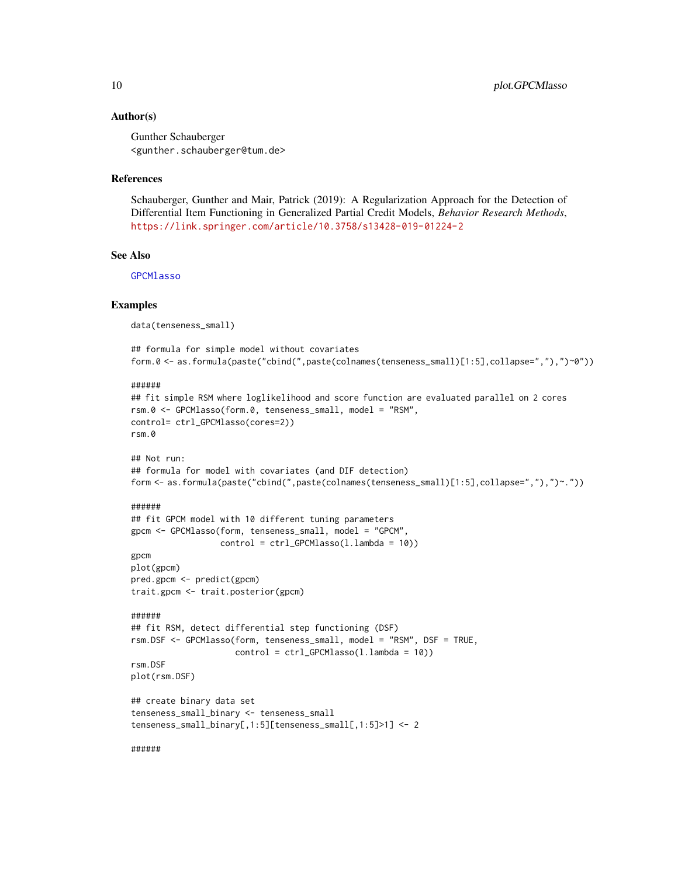<span id="page-9-0"></span>Gunther Schauberger <gunther.schauberger@tum.de>

#### References

Schauberger, Gunther and Mair, Patrick (2019): A Regularization Approach for the Detection of Differential Item Functioning in Generalized Partial Credit Models, *Behavior Research Methods*, <https://link.springer.com/article/10.3758/s13428-019-01224-2>

#### See Also

[GPCMlasso](#page-5-1)

#### Examples

data(tenseness\_small)

```
## formula for simple model without covariates
form.0 <- as.formula(paste("cbind(",paste(colnames(tenseness_small)[1:5],collapse=","),")~0"))
```
######

```
## fit simple RSM where loglikelihood and score function are evaluated parallel on 2 cores
rsm.0 <- GPCMlasso(form.0, tenseness_small, model = "RSM",
control= ctrl_GPCMlasso(cores=2))
rsm.0
```

```
## Not run:
## formula for model with covariates (and DIF detection)
form <- as.formula(paste("cbind(",paste(colnames(tenseness_small)[1:5],collapse=","),")~."))
```
#### ######

```
## fit GPCM model with 10 different tuning parameters
gpcm <- GPCMlasso(form, tenseness_small, model = "GPCM",
                  control = ctrl_GPCMlasso(l.lambda = 10))
gpcm
```
plot(gpcm) pred.gpcm <- predict(gpcm) trait.gpcm <- trait.posterior(gpcm)

```
######
## fit RSM, detect differential step functioning (DSF)
rsm.DSF <- GPCMlasso(form, tenseness_small, model = "RSM", DSF = TRUE,
                     control = ctrl_GPCMlasso(l.lambda = 10))
rsm.DSF
```

```
plot(rsm.DSF)
```

```
## create binary data set
tenseness_small_binary <- tenseness_small
tenseness_small_binary[,1:5][tenseness_small[,1:5]>1] <- 2
```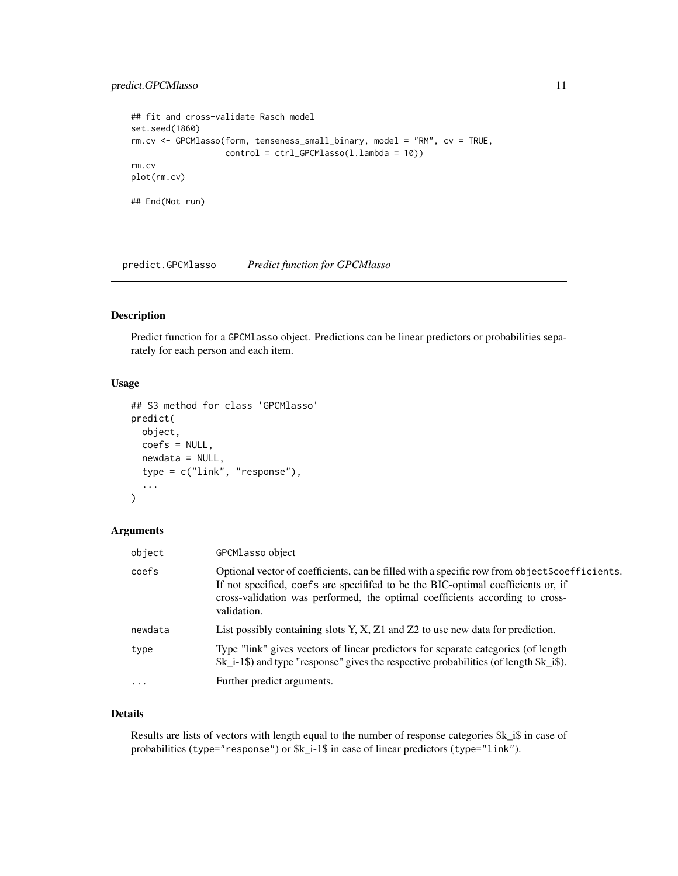#### <span id="page-10-0"></span>predict.GPCMlasso 11

```
## fit and cross-validate Rasch model
set.seed(1860)
rm.cv <- GPCMlasso(form, tenseness_small_binary, model = "RM", cv = TRUE,
                   control = ctrl_GPCMlasso(l.lambda = 10))
rm.cv
plot(rm.cv)
## End(Not run)
```
<span id="page-10-1"></span>predict.GPCMlasso *Predict function for GPCMlasso*

#### Description

Predict function for a GPCMlasso object. Predictions can be linear predictors or probabilities separately for each person and each item.

#### Usage

```
## S3 method for class 'GPCMlasso'
predict(
 object,
  coefs = NULL,
 newdata = NULL,
  type = c("link", "response"),
  ...
)
```
#### Arguments

| object  | GPCMlasso object                                                                                                                                                                                                                                                                 |
|---------|----------------------------------------------------------------------------------------------------------------------------------------------------------------------------------------------------------------------------------------------------------------------------------|
| coefs   | Optional vector of coefficients, can be filled with a specific row from object \$coefficients.<br>If not specified, coefs are specified to be the BIC-optimal coefficients or, if<br>cross-validation was performed, the optimal coefficients according to cross-<br>validation. |
| newdata | List possibly containing slots Y, X, Z1 and Z2 to use new data for prediction.                                                                                                                                                                                                   |
| type    | Type "link" gives vectors of linear predictors for separate categories (of length<br>$k_i = 1$ and type "response" gives the respective probabilities (of length $k_i$ is).                                                                                                      |
| $\cdot$ | Further predict arguments.                                                                                                                                                                                                                                                       |

#### Details

Results are lists of vectors with length equal to the number of response categories \$k\_i\$ in case of probabilities (type="response") or \$k\_i-1\$ in case of linear predictors (type="link").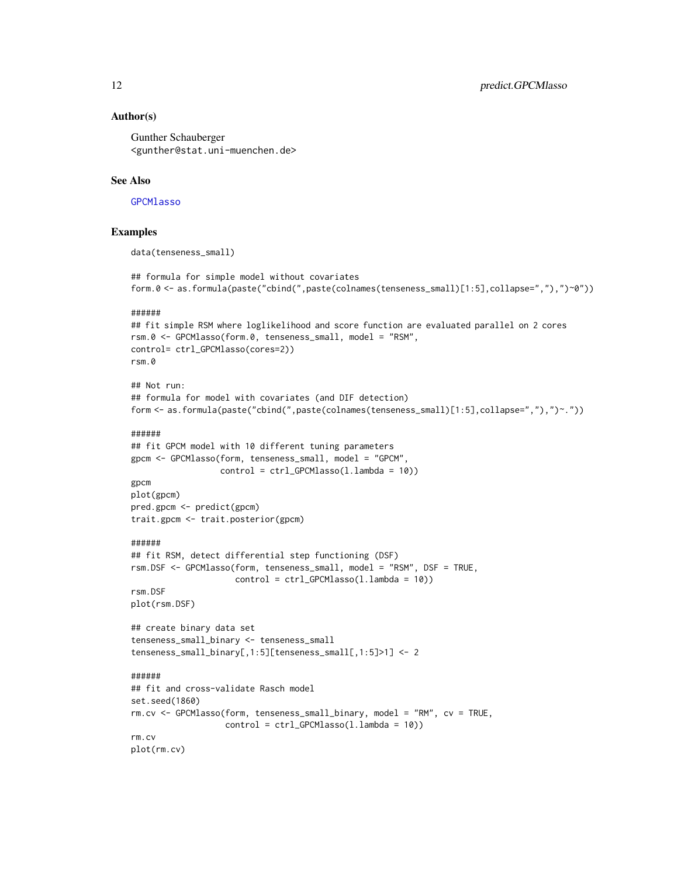<span id="page-11-0"></span>Gunther Schauberger <gunther@stat.uni-muenchen.de>

#### See Also

#### **[GPCMlasso](#page-5-1)**

#### Examples

```
data(tenseness_small)
```

```
## formula for simple model without covariates
form.0 <- as.formula(paste("cbind(",paste(colnames(tenseness_small)[1:5],collapse=","),")~0"))
```
#### ######

```
## fit simple RSM where loglikelihood and score function are evaluated parallel on 2 cores
rsm.0 <- GPCMlasso(form.0, tenseness_small, model = "RSM",
control= ctrl_GPCMlasso(cores=2))
rsm.0
```

```
## Not run:
## formula for model with covariates (and DIF detection)
form <- as.formula(paste("cbind(",paste(colnames(tenseness_small)[1:5],collapse=","),")~."))
```
#### ######

```
## fit GPCM model with 10 different tuning parameters
gpcm <- GPCMlasso(form, tenseness_small, model = "GPCM",
                 control = ctrl_GPCMlasso(l.lambda = 10))
gpcm
```

```
plot(gpcm)
pred.gpcm <- predict(gpcm)
trait.gpcm <- trait.posterior(gpcm)
```
#### ######

```
## fit RSM, detect differential step functioning (DSF)
rsm.DSF <- GPCMlasso(form, tenseness_small, model = "RSM", DSF = TRUE,
                     control = ctrl_GPCMlasso(l.lambda = 10))
rsm.DSF
```

```
plot(rsm.DSF)
```

```
## create binary data set
tenseness_small_binary <- tenseness_small
tenseness_small_binary[,1:5][tenseness_small[,1:5]>1] <- 2
```

```
## fit and cross-validate Rasch model
set.seed(1860)
rm.cv <- GPCMlasso(form, tenseness_small_binary, model = "RM", cv = TRUE,
                  control = ctrl_GPCMlasso(l.lambda = 10))
rm.cv
plot(rm.cv)
```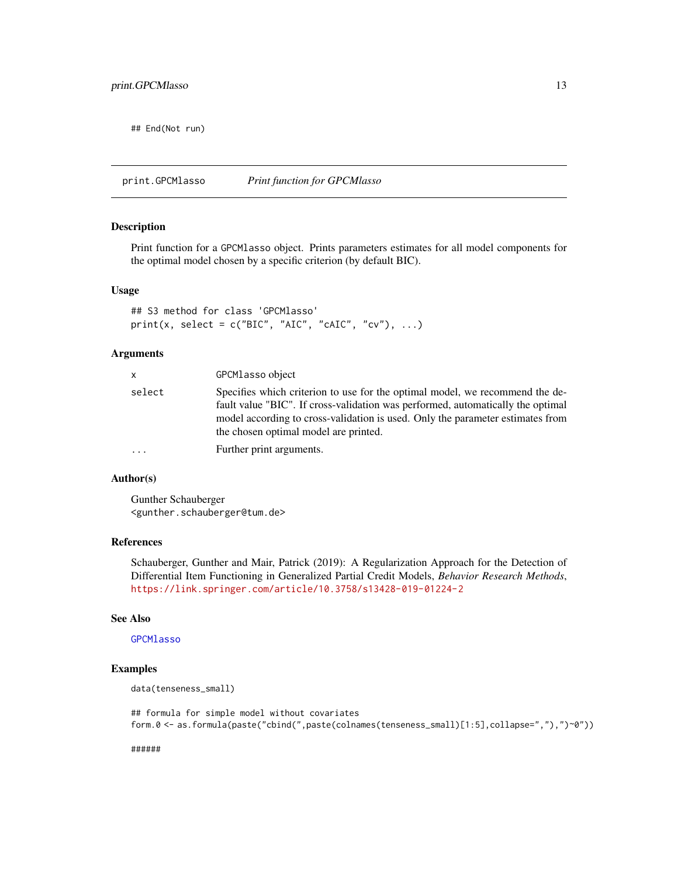<span id="page-12-0"></span>## End(Not run)

<span id="page-12-1"></span>print.GPCMlasso *Print function for GPCMlasso*

#### Description

Print function for a GPCMlasso object. Prints parameters estimates for all model components for the optimal model chosen by a specific criterion (by default BIC).

#### Usage

```
## S3 method for class 'GPCMlasso'
print(x, select = c("BIC", "AIC", "cAIC", "cv"), ...)
```
#### Arguments

| x      | GPCM <sub>lasso</sub> object                                                                                                                                                                                                                                                               |
|--------|--------------------------------------------------------------------------------------------------------------------------------------------------------------------------------------------------------------------------------------------------------------------------------------------|
| select | Specifies which criterion to use for the optimal model, we recommend the de-<br>fault value "BIC". If cross-validation was performed, automatically the optimal<br>model according to cross-validation is used. Only the parameter estimates from<br>the chosen optimal model are printed. |
| .      | Further print arguments.                                                                                                                                                                                                                                                                   |
|        |                                                                                                                                                                                                                                                                                            |

#### Author(s)

Gunther Schauberger <gunther.schauberger@tum.de>

#### References

Schauberger, Gunther and Mair, Patrick (2019): A Regularization Approach for the Detection of Differential Item Functioning in Generalized Partial Credit Models, *Behavior Research Methods*, <https://link.springer.com/article/10.3758/s13428-019-01224-2>

#### See Also

#### [GPCMlasso](#page-5-1)

#### Examples

```
data(tenseness_small)
```
## formula for simple model without covariates form.0 <- as.formula(paste("cbind(",paste(colnames(tenseness\_small)[1:5],collapse=","),")~0"))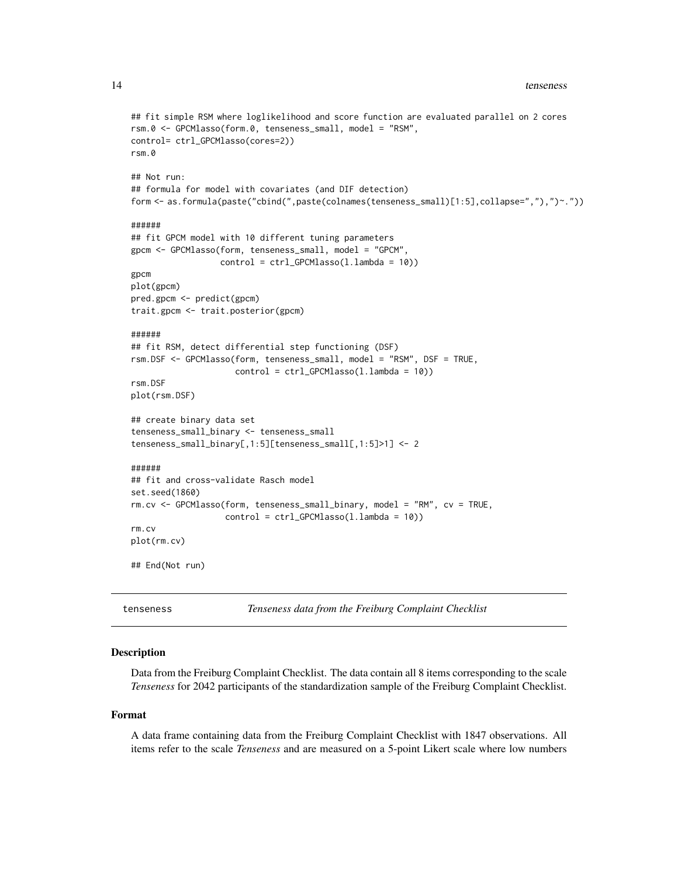```
## fit simple RSM where loglikelihood and score function are evaluated parallel on 2 cores
rsm.0 <- GPCMlasso(form.0, tenseness_small, model = "RSM",
control= ctrl_GPCMlasso(cores=2))
rsm.0
## Not run:
## formula for model with covariates (and DIF detection)
form <- as.formula(paste("cbind(",paste(colnames(tenseness_small)[1:5],collapse=","),")~."))
######
## fit GPCM model with 10 different tuning parameters
gpcm <- GPCMlasso(form, tenseness_small, model = "GPCM",
                  control = ctrl_GPCMlasso(l.lambda = 10))
gpcm
plot(gpcm)
pred.gpcm <- predict(gpcm)
trait.gpcm <- trait.posterior(gpcm)
######
## fit RSM, detect differential step functioning (DSF)
rsm.DSF <- GPCMlasso(form, tenseness_small, model = "RSM", DSF = TRUE,
                     control = ctrl_GPCMlasso(l.lambda = 10))
rsm.DSF
plot(rsm.DSF)
## create binary data set
tenseness_small_binary <- tenseness_small
tenseness_small_binary[,1:5][tenseness_small[,1:5]>1] <- 2
######
## fit and cross-validate Rasch model
set.seed(1860)
rm.cv <- GPCMlasso(form, tenseness_small_binary, model = "RM", cv = TRUE,
                   control = ctrl_GPCMlasso(l.lambda = 10))
rm.cv
plot(rm.cv)
## End(Not run)
```
<span id="page-13-1"></span>tenseness *Tenseness data from the Freiburg Complaint Checklist*

#### **Description**

Data from the Freiburg Complaint Checklist. The data contain all 8 items corresponding to the scale *Tenseness* for 2042 participants of the standardization sample of the Freiburg Complaint Checklist.

#### Format

A data frame containing data from the Freiburg Complaint Checklist with 1847 observations. All items refer to the scale *Tenseness* and are measured on a 5-point Likert scale where low numbers

<span id="page-13-0"></span>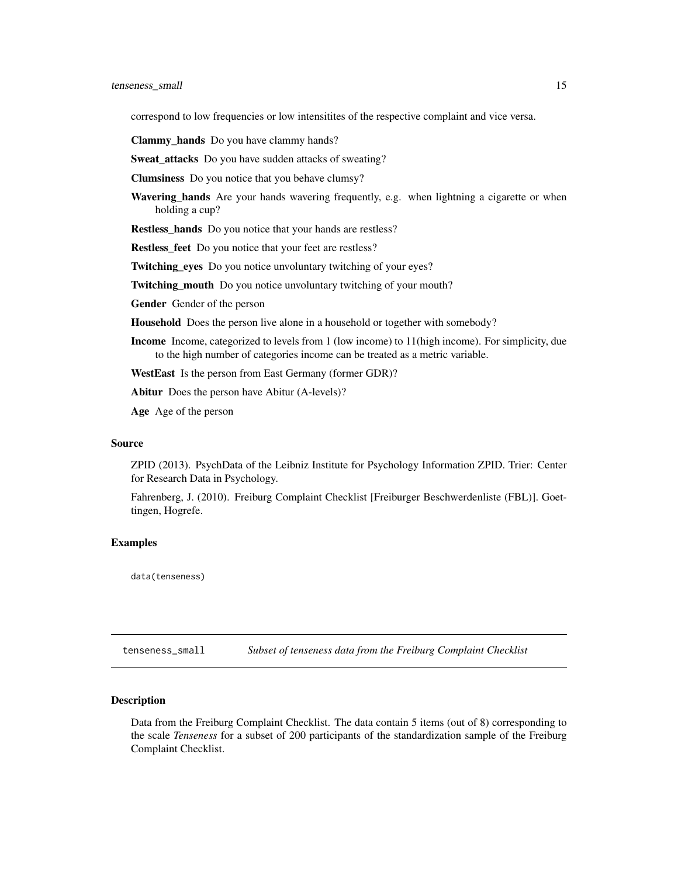<span id="page-14-0"></span>correspond to low frequencies or low intensitites of the respective complaint and vice versa.

Clammy\_hands Do you have clammy hands?

Sweat\_attacks Do you have sudden attacks of sweating?

Clumsiness Do you notice that you behave clumsy?

Wavering\_hands Are your hands wavering frequently, e.g. when lightning a cigarette or when holding a cup?

Restless\_hands Do you notice that your hands are restless?

Restless\_feet Do you notice that your feet are restless?

Twitching\_eyes Do you notice unvoluntary twitching of your eyes?

Twitching\_mouth Do you notice unvoluntary twitching of your mouth?

Gender Gender of the person

Household Does the person live alone in a household or together with somebody?

Income Income, categorized to levels from 1 (low income) to 11(high income). For simplicity, due to the high number of categories income can be treated as a metric variable.

WestEast Is the person from East Germany (former GDR)?

Abitur Does the person have Abitur (A-levels)?

Age Age of the person

#### Source

ZPID (2013). PsychData of the Leibniz Institute for Psychology Information ZPID. Trier: Center for Research Data in Psychology.

Fahrenberg, J. (2010). Freiburg Complaint Checklist [Freiburger Beschwerdenliste (FBL)]. Goettingen, Hogrefe.

#### Examples

data(tenseness)

tenseness\_small *Subset of tenseness data from the Freiburg Complaint Checklist*

#### **Description**

Data from the Freiburg Complaint Checklist. The data contain 5 items (out of 8) corresponding to the scale *Tenseness* for a subset of 200 participants of the standardization sample of the Freiburg Complaint Checklist.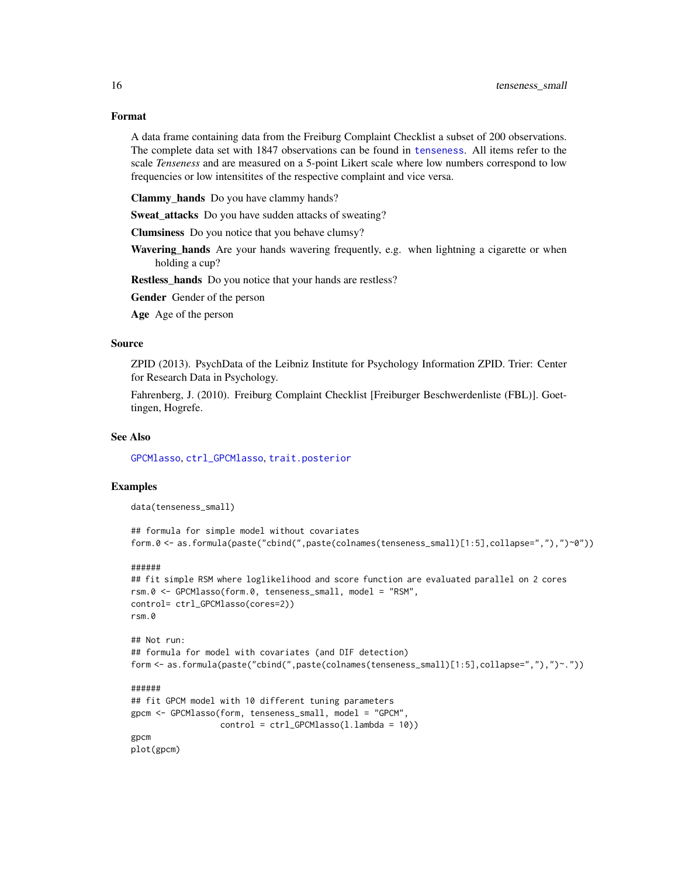A data frame containing data from the Freiburg Complaint Checklist a subset of 200 observations. The complete data set with 1847 observations can be found in [tenseness](#page-13-1). All items refer to the scale *Tenseness* and are measured on a 5-point Likert scale where low numbers correspond to low frequencies or low intensitites of the respective complaint and vice versa.

Clammy\_hands Do you have clammy hands?

Sweat attacks Do you have sudden attacks of sweating?

Clumsiness Do you notice that you behave clumsy?

Wavering\_hands Are your hands wavering frequently, e.g. when lightning a cigarette or when holding a cup?

Restless\_hands Do you notice that your hands are restless?

Gender Gender of the person

Age Age of the person

#### Source

ZPID (2013). PsychData of the Leibniz Institute for Psychology Information ZPID. Trier: Center for Research Data in Psychology.

Fahrenberg, J. (2010). Freiburg Complaint Checklist [Freiburger Beschwerdenliste (FBL)]. Goettingen, Hogrefe.

#### See Also

[GPCMlasso](#page-5-1), [ctrl\\_GPCMlasso](#page-2-1), [trait.posterior](#page-16-1)

#### Examples

data(tenseness\_small)

```
## formula for simple model without covariates
form.0 <- as.formula(paste("cbind(",paste(colnames(tenseness_small)[1:5],collapse=","),")~0"))
```
#### ######

```
## fit simple RSM where loglikelihood and score function are evaluated parallel on 2 cores
rsm.0 <- GPCMlasso(form.0, tenseness_small, model = "RSM",
control= ctrl_GPCMlasso(cores=2))
rsm.0
```

```
## Not run:
## formula for model with covariates (and DIF detection)
form <- as.formula(paste("cbind(",paste(colnames(tenseness_small)[1:5],collapse=","),")~."))
```

```
## fit GPCM model with 10 different tuning parameters
gpcm <- GPCMlasso(form, tenseness_small, model = "GPCM",
                  control = ctrl_GPCMlasso(l.lambda = 10))
gpcm
plot(gpcm)
```
<span id="page-15-0"></span>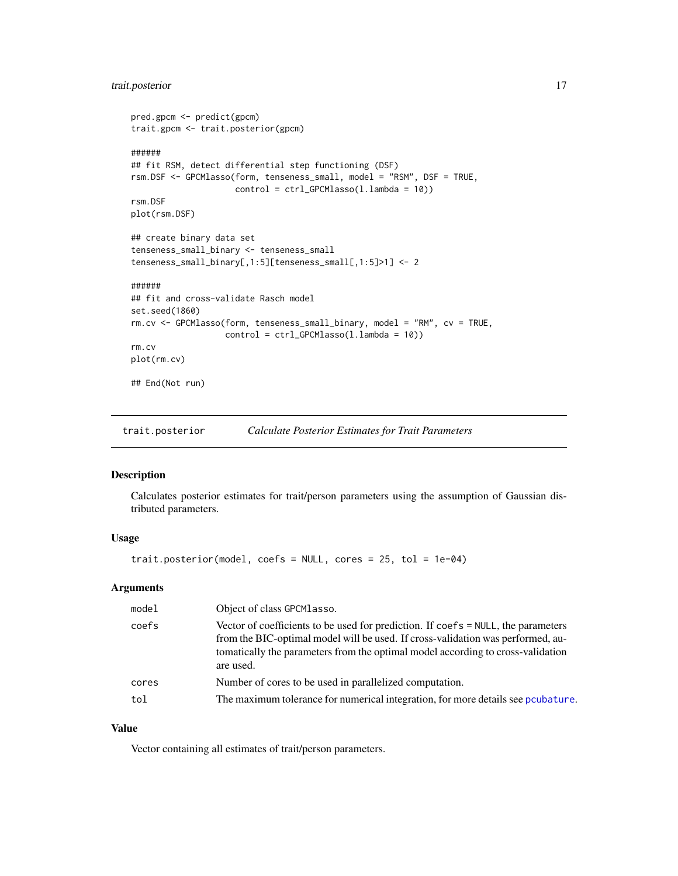#### <span id="page-16-0"></span>trait.posterior 17

```
pred.gpcm <- predict(gpcm)
trait.gpcm <- trait.posterior(gpcm)
######
## fit RSM, detect differential step functioning (DSF)
rsm.DSF <- GPCMlasso(form, tenseness_small, model = "RSM", DSF = TRUE,
                     control = ctrl_GPCMlasso(l.lambda = 10))
rsm.DSF
plot(rsm.DSF)
## create binary data set
tenseness_small_binary <- tenseness_small
tenseness_small_binary[,1:5][tenseness_small[,1:5]>1] <- 2
######
## fit and cross-validate Rasch model
set.seed(1860)
rm.cv <- GPCMlasso(form, tenseness_small_binary, model = "RM", cv = TRUE,
                   control = ctrl_GPCMlasso(l.lambda = 10))
rm.cv
plot(rm.cv)
## End(Not run)
```
<span id="page-16-1"></span>trait.posterior *Calculate Posterior Estimates for Trait Parameters*

#### Description

Calculates posterior estimates for trait/person parameters using the assumption of Gaussian distributed parameters.

#### Usage

```
trait.posterior(model, coefs = NULL, cores = 25, tol = 1e-04)
```
#### Arguments

| model | Object of class GPCM lasso.                                                                                                                                                                                                                                               |
|-------|---------------------------------------------------------------------------------------------------------------------------------------------------------------------------------------------------------------------------------------------------------------------------|
| coefs | Vector of coefficients to be used for prediction. If coefs = NULL, the parameters<br>from the BIC-optimal model will be used. If cross-validation was performed, au-<br>to to to conserve to parameters from the optimal model according to cross-validation<br>are used. |
| cores | Number of cores to be used in parallelized computation.                                                                                                                                                                                                                   |
| tol   | The maximum tolerance for numerical integration, for more details see pcubature.                                                                                                                                                                                          |

#### Value

Vector containing all estimates of trait/person parameters.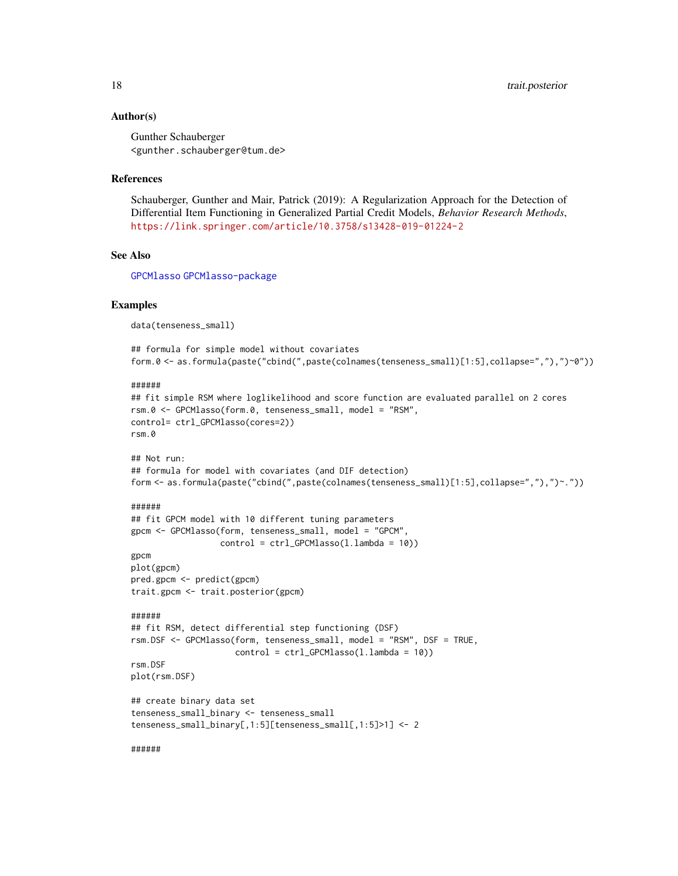<span id="page-17-0"></span>Gunther Schauberger <gunther.schauberger@tum.de>

#### References

Schauberger, Gunther and Mair, Patrick (2019): A Regularization Approach for the Detection of Differential Item Functioning in Generalized Partial Credit Models, *Behavior Research Methods*, <https://link.springer.com/article/10.3758/s13428-019-01224-2>

#### See Also

[GPCMlasso](#page-5-1) [GPCMlasso-package](#page-1-1)

#### Examples

data(tenseness\_small)

```
## formula for simple model without covariates
form.0 <- as.formula(paste("cbind(",paste(colnames(tenseness_small)[1:5],collapse=","),")~0"))
```
######

```
## fit simple RSM where loglikelihood and score function are evaluated parallel on 2 cores
rsm.0 <- GPCMlasso(form.0, tenseness_small, model = "RSM",
control= ctrl_GPCMlasso(cores=2))
rsm.0
```

```
## Not run:
## formula for model with covariates (and DIF detection)
form <- as.formula(paste("cbind(",paste(colnames(tenseness_small)[1:5],collapse=","),")~."))
```
#### ######

```
## fit GPCM model with 10 different tuning parameters
gpcm <- GPCMlasso(form, tenseness_small, model = "GPCM",
                  control = ctrl_GPCMlasso(l.lambda = 10))
gpcm
```
plot(gpcm) pred.gpcm <- predict(gpcm) trait.gpcm <- trait.posterior(gpcm)

```
######
## fit RSM, detect differential step functioning (DSF)
rsm.DSF <- GPCMlasso(form, tenseness_small, model = "RSM", DSF = TRUE,
                     control = ctrl_GPCMlasso(l.lambda = 10))
rsm.DSF
```

```
plot(rsm.DSF)
```

```
## create binary data set
tenseness_small_binary <- tenseness_small
tenseness_small_binary[,1:5][tenseness_small[,1:5]>1] <- 2
```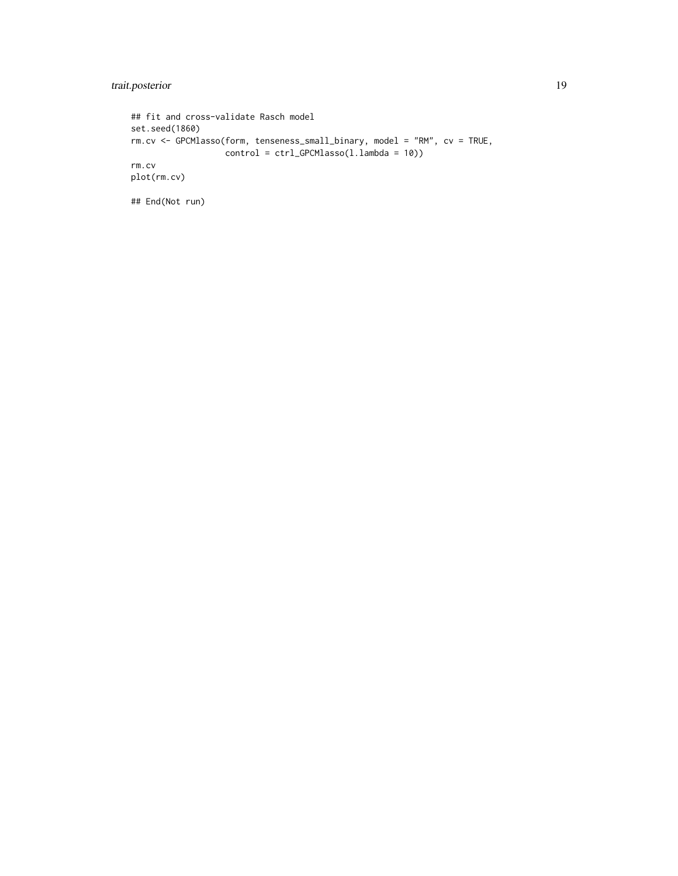trait.posterior 19

```
## fit and cross-validate Rasch model
set.seed(1860)
rm.cv <- GPCMlasso(form, tenseness_small_binary, model = "RM", cv = TRUE,
                  control = ctrl_GPCMlasso(l.lambda = 10))
rm.cv
plot(rm.cv)
```
## End(Not run)